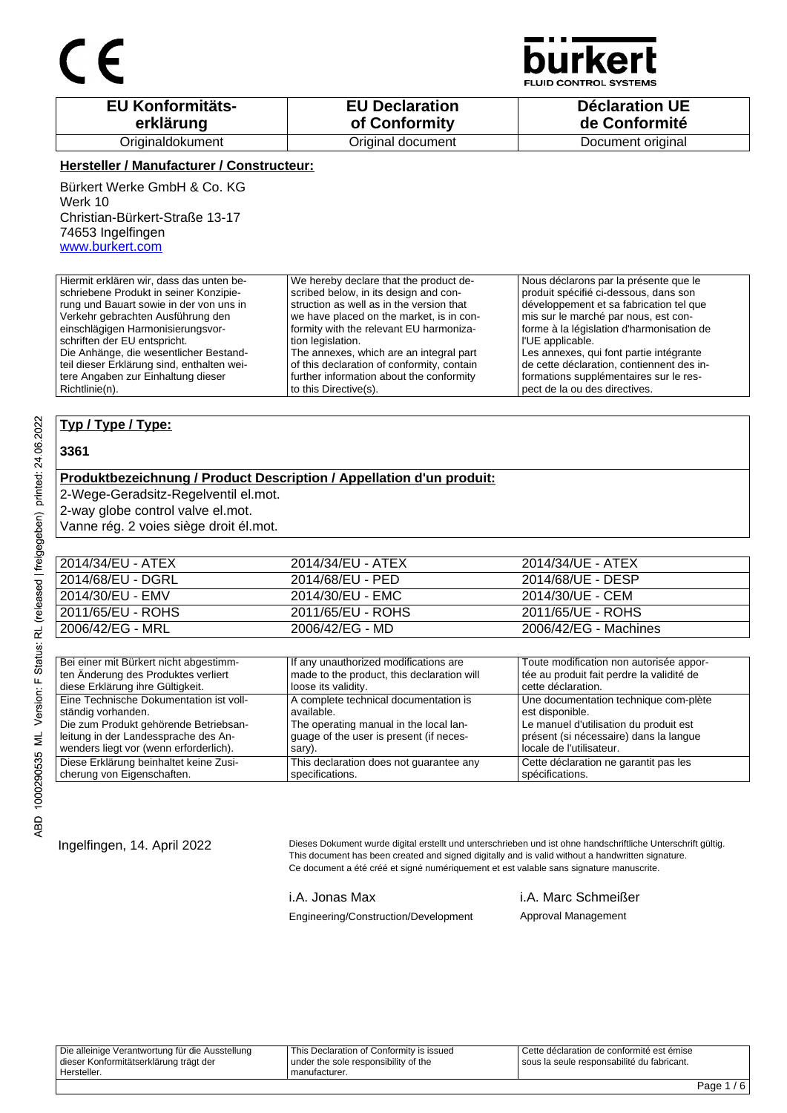

**D CONTROL SYSTEMS** 

| <b>EU Konformitäts-</b> | <b>EU Declaration</b> | <b>Déclaration UE</b> |
|-------------------------|-----------------------|-----------------------|
| erklärung               | of Conformity         | de Conformité         |
| Originaldokument        | Original document     | Document original     |

### **Hersteller / Manufacturer / Constructeur:**

Bürkert Werke GmbH & Co. KG Werk 10 Christian-Bürkert-Straße 13-17 74653 Ingelfingen www.burkert.com

Hiermit erklären wir, dass das unten beschriebene Produkt in seiner Konzipierung und Bauart sowie in der von uns in Verkehr gebrachten Ausführung den einschlägigen Harmonisierungsvorschriften der EU entspricht. Die Anhänge, die wesentlicher Bestandteil dieser Erklärung sind, enthalten weitere Angaben zur Einhaltung dieser Richtlinie(n). We hereby declare that the product described below, in its design and construction as well as in the version that we have placed on the market, is in conformity with the relevant EU harmonization legislation. The annexes, which are an integral part of this declaration of conformity, contain further information about the conformity to this Directive(s). Nous déclarons par la présente que le produit spécifié ci-dessous, dans son développement et sa fabrication tel que mis sur le marché par nous, est conforme à la législation d'harmonisation de l'UE applicable. Les annexes, qui font partie intégrante de cette déclaration, contiennent des informations supplémentaires sur le respect de la ou des directives.

### **Typ / Type / Type:**

### **3361**

### **Produktbezeichnung / Product Description / Appellation d'un produit:**

2-Wege-Geradsitz-Regelventil el.mot.

2-way globe control valve el.mot.

Vanne rég. 2 voies siège droit él.mot.

| 2014/34/EU - ATEX | 2014/34/EU - ATEX | 2014/34/UE - ATEX     |
|-------------------|-------------------|-----------------------|
| 2014/68/EU - DGRL | 2014/68/EU - PED  | 2014/68/UE - DESP     |
| 2014/30/EU - EMV  | 2014/30/EU - EMC  | 2014/30/UE - CEM      |
| 2011/65/EU - ROHS | 2011/65/EU - ROHS | 2011/65/UE - ROHS     |
| 2006/42/EG - MRL  | 2006/42/EG - MD   | 2006/42/EG - Machines |

| Bei einer mit Bürkert nicht abgestimm-  | If any unauthorized modifications are      | Toute modification non autorisée appor-   |
|-----------------------------------------|--------------------------------------------|-------------------------------------------|
| ten Änderung des Produktes verliert     | made to the product, this declaration will | tée au produit fait perdre la validité de |
| diese Erklärung ihre Gültigkeit.        | loose its validity.                        | cette déclaration.                        |
| Eine Technische Dokumentation ist voll- | A complete technical documentation is      | Une documentation technique com-plète     |
| ständig vorhanden.                      | available.                                 | est disponible.                           |
| Die zum Produkt gehörende Betriebsan-   | The operating manual in the local lan-     | Le manuel d'utilisation du produit est    |
| leitung in der Landessprache des An-    | quage of the user is present (if neces-    | présent (si nécessaire) dans la langue    |
| wenders liegt vor (wenn erforderlich).  | sary).                                     | locale de l'utilisateur.                  |
| Diese Erklärung beinhaltet keine Zusi-  | This declaration does not quarantee any    | Cette déclaration ne garantit pas les     |
| cherung von Eigenschaften.              | specifications.                            | spécifications.                           |

Ingelfingen, 14. April 2022 Dieses Dokument wurde digital erstellt und unterschrieben und ist ohne handschriftliche Unterschrift gültig. This document has been created and signed digitally and is valid without a handwritten signature. Ce document a été créé et signé numériquement et est valable sans signature manuscrite.

i.A. Jonas Max i.A. Marc Schmeißer

Engineering/Construction/Development Approval Management

Die alleinige Verantwortung für die Ausstellung dieser Konformitätserklärung trägt der Hersteller. This Declaration of Conformity is issued under the sole responsibility of the manufacturer. Cette déclaration de conformité est émise sous la seule responsabilité du fabricant.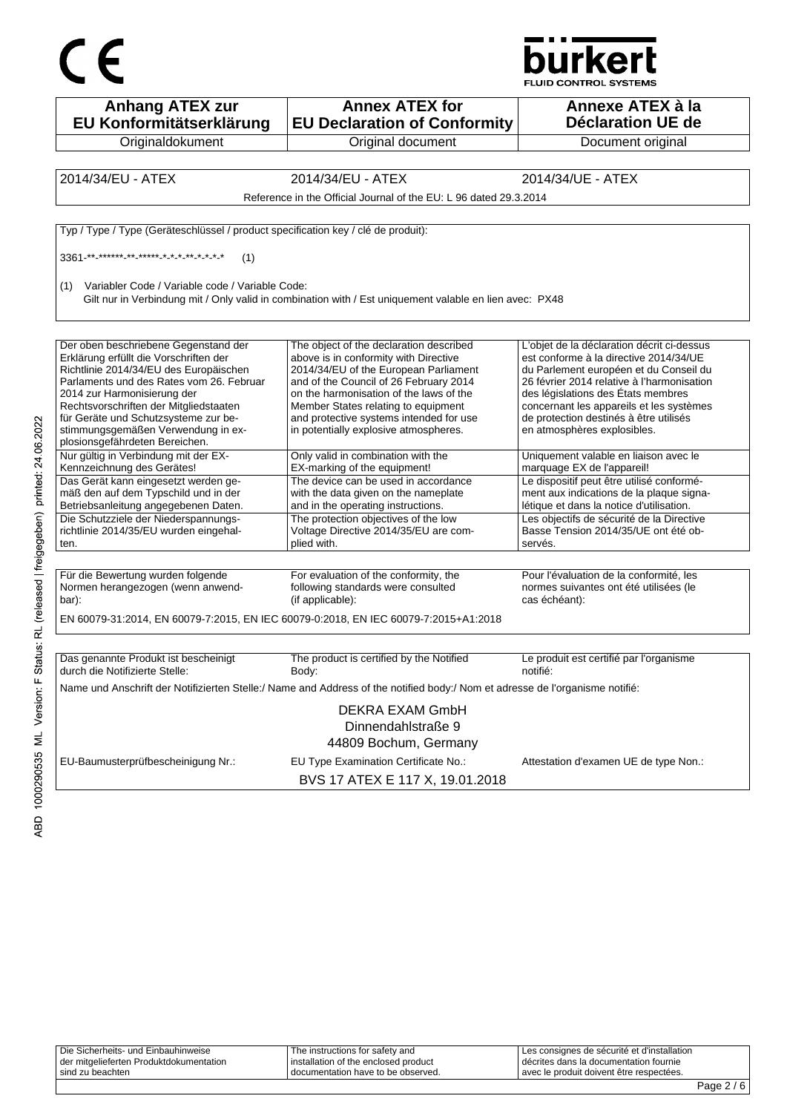



| <b>Anhang ATEX zur</b><br>EU Konformitätserklärung                                                                                                                                                                                                                                                                                                            | <b>Annex ATEX for</b><br><b>EU Declaration of Conformity</b>                                                                                                                                                                                                                                                                              | Annexe ATEX à la<br><b>Déclaration UE de</b>                                                                                                                                                                                                                                                                                            |
|---------------------------------------------------------------------------------------------------------------------------------------------------------------------------------------------------------------------------------------------------------------------------------------------------------------------------------------------------------------|-------------------------------------------------------------------------------------------------------------------------------------------------------------------------------------------------------------------------------------------------------------------------------------------------------------------------------------------|-----------------------------------------------------------------------------------------------------------------------------------------------------------------------------------------------------------------------------------------------------------------------------------------------------------------------------------------|
| Originaldokument                                                                                                                                                                                                                                                                                                                                              | Original document                                                                                                                                                                                                                                                                                                                         | Document original                                                                                                                                                                                                                                                                                                                       |
|                                                                                                                                                                                                                                                                                                                                                               |                                                                                                                                                                                                                                                                                                                                           |                                                                                                                                                                                                                                                                                                                                         |
| 2014/34/EU - ATEX                                                                                                                                                                                                                                                                                                                                             | 2014/34/EU - ATEX                                                                                                                                                                                                                                                                                                                         | 2014/34/UE - ATEX                                                                                                                                                                                                                                                                                                                       |
|                                                                                                                                                                                                                                                                                                                                                               | Reference in the Official Journal of the EU: L 96 dated 29.3.2014                                                                                                                                                                                                                                                                         |                                                                                                                                                                                                                                                                                                                                         |
| Typ / Type / Type (Geräteschlüssel / product specification key / clé de produit):                                                                                                                                                                                                                                                                             |                                                                                                                                                                                                                                                                                                                                           |                                                                                                                                                                                                                                                                                                                                         |
| (1)                                                                                                                                                                                                                                                                                                                                                           |                                                                                                                                                                                                                                                                                                                                           |                                                                                                                                                                                                                                                                                                                                         |
| Variabler Code / Variable code / Variable Code:<br>(1)                                                                                                                                                                                                                                                                                                        | Gilt nur in Verbindung mit / Only valid in combination with / Est uniquement valable en lien avec: PX48                                                                                                                                                                                                                                   |                                                                                                                                                                                                                                                                                                                                         |
| Der oben beschriebene Gegenstand der<br>Erklärung erfüllt die Vorschriften der<br>Richtlinie 2014/34/EU des Europäischen<br>Parlaments und des Rates vom 26. Februar<br>2014 zur Harmonisierung der<br>Rechtsvorschriften der Mitgliedstaaten<br>für Geräte und Schutzsysteme zur be-<br>stimmungsgemäßen Verwendung in ex-<br>plosionsgefährdeten Bereichen. | The object of the declaration described<br>above is in conformity with Directive<br>2014/34/EU of the European Parliament<br>and of the Council of 26 February 2014<br>on the harmonisation of the laws of the<br>Member States relating to equipment<br>and protective systems intended for use<br>in potentially explosive atmospheres. | L'objet de la déclaration décrit ci-dessus<br>est conforme à la directive 2014/34/UE<br>du Parlement européen et du Conseil du<br>26 février 2014 relative à l'harmonisation<br>des législations des États membres<br>concernant les appareils et les systèmes<br>de protection destinés à être utilisés<br>en atmosphères explosibles. |
| Nur gültig in Verbindung mit der EX-<br>Kennzeichnung des Gerätes!                                                                                                                                                                                                                                                                                            | Only valid in combination with the<br>EX-marking of the equipment!                                                                                                                                                                                                                                                                        | Uniquement valable en liaison avec le<br>marquage EX de l'appareil!                                                                                                                                                                                                                                                                     |
| Das Gerät kann eingesetzt werden ge-<br>mäß den auf dem Typschild und in der<br>Betriebsanleitung angegebenen Daten.<br>Die Schutzziele der Niederspannungs-<br>richtlinie 2014/35/EU wurden eingehal-<br>ten.                                                                                                                                                | The device can be used in accordance<br>with the data given on the nameplate<br>and in the operating instructions.<br>The protection objectives of the low<br>Voltage Directive 2014/35/EU are com-<br>plied with.                                                                                                                        | Le dispositif peut être utilisé conformé-<br>ment aux indications de la plaque signa-<br>létique et dans la notice d'utilisation.<br>Les objectifs de sécurité de la Directive<br>Basse Tension 2014/35/UE ont été ob-<br>servés.                                                                                                       |
|                                                                                                                                                                                                                                                                                                                                                               |                                                                                                                                                                                                                                                                                                                                           |                                                                                                                                                                                                                                                                                                                                         |
| Für die Bewertung wurden folgende<br>Normen herangezogen (wenn anwend-<br>bar):                                                                                                                                                                                                                                                                               | For evaluation of the conformity, the<br>following standards were consulted<br>(if applicable):                                                                                                                                                                                                                                           | Pour l'évaluation de la conformité, les<br>normes suivantes ont été utilisées (le<br>cas échéant):                                                                                                                                                                                                                                      |
|                                                                                                                                                                                                                                                                                                                                                               | EN 60079-31:2014, EN 60079-7:2015, EN IEC 60079-0:2018, EN IEC 60079-7:2015+A1:2018                                                                                                                                                                                                                                                       |                                                                                                                                                                                                                                                                                                                                         |
|                                                                                                                                                                                                                                                                                                                                                               |                                                                                                                                                                                                                                                                                                                                           |                                                                                                                                                                                                                                                                                                                                         |
| Das genannte Produkt ist bescheinigt<br>durch die Notifizierte Stelle:                                                                                                                                                                                                                                                                                        | The product is certified by the Notified<br>Body:                                                                                                                                                                                                                                                                                         | Le produit est certifié par l'organisme<br>notifié:                                                                                                                                                                                                                                                                                     |
|                                                                                                                                                                                                                                                                                                                                                               | Name und Anschrift der Notifizierten Stelle:/ Name and Address of the notified body:/ Nom et adresse de l'organisme notifié:                                                                                                                                                                                                              |                                                                                                                                                                                                                                                                                                                                         |
|                                                                                                                                                                                                                                                                                                                                                               | DEKRA EXAM GmbH<br>Dinnendahlstraße 9<br>44809 Bochum, Germany                                                                                                                                                                                                                                                                            |                                                                                                                                                                                                                                                                                                                                         |
| EU-Baumusterprüfbescheinigung Nr.:                                                                                                                                                                                                                                                                                                                            | EU Type Examination Certificate No.:<br>BVS 17 ATEX E 117 X, 19.01.2018                                                                                                                                                                                                                                                                   | Attestation d'examen UE de type Non.:                                                                                                                                                                                                                                                                                                   |

Die Sicherheits- und Einbauhinweise der mitgelieferten Produktdokumentation sind zu beachten The instructions for safety and installation of the enclosed product documentation have to be observed. Les consignes de sécurité et d'installation décrites dans la documentation fournie avec le produit doivent être respectées.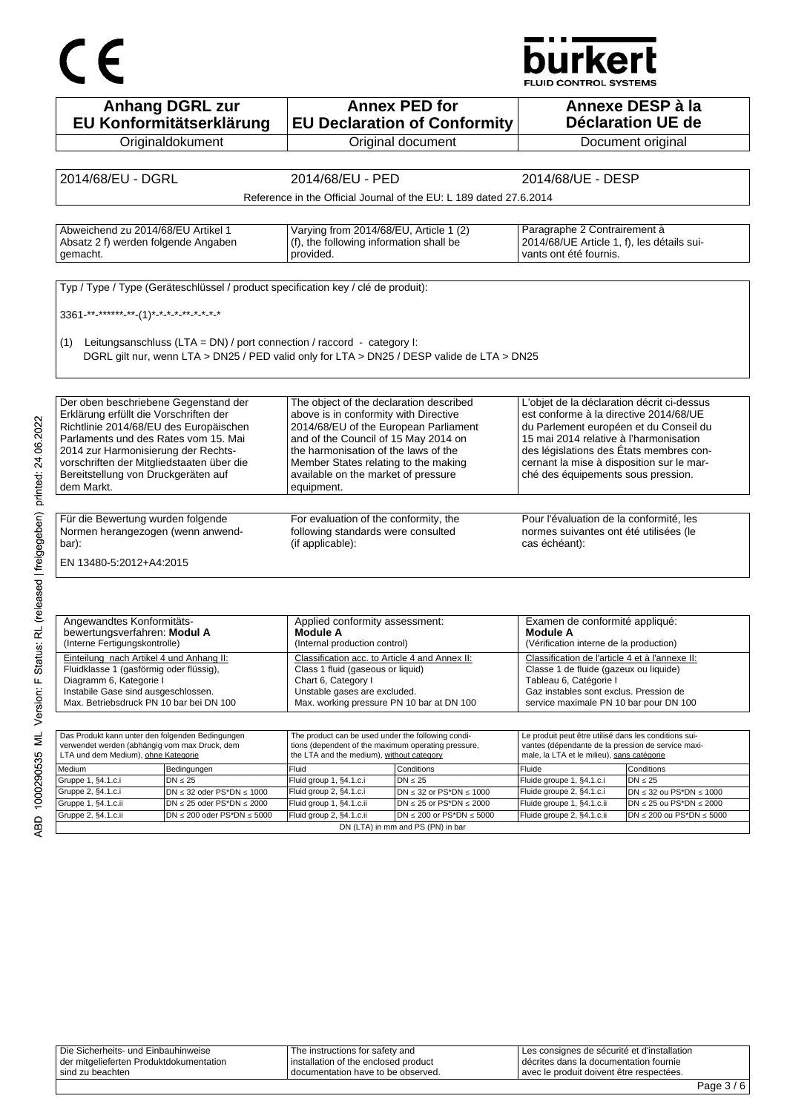# CE

## **burkert**

FLUID CONTROL SYSTEMS

| <b>Anhang DGRL zur</b>                                                                                                                                                                                                                       |                                                                                   |                                                                                                  |                                                                                            |                                                                                                  |                                                                     |
|----------------------------------------------------------------------------------------------------------------------------------------------------------------------------------------------------------------------------------------------|-----------------------------------------------------------------------------------|--------------------------------------------------------------------------------------------------|--------------------------------------------------------------------------------------------|--------------------------------------------------------------------------------------------------|---------------------------------------------------------------------|
|                                                                                                                                                                                                                                              | EU Konformitätserklärung                                                          |                                                                                                  | <b>Annex PED for</b><br><b>EU Declaration of Conformity</b>                                |                                                                                                  | Annexe DESP à la<br>Déclaration UE de                               |
|                                                                                                                                                                                                                                              | Originaldokument                                                                  |                                                                                                  | Original document                                                                          |                                                                                                  | Document original                                                   |
|                                                                                                                                                                                                                                              |                                                                                   |                                                                                                  |                                                                                            |                                                                                                  |                                                                     |
| 2014/68/EU - DGRL                                                                                                                                                                                                                            |                                                                                   | 2014/68/EU - PED                                                                                 |                                                                                            | 2014/68/UE - DESP                                                                                |                                                                     |
|                                                                                                                                                                                                                                              |                                                                                   |                                                                                                  | Reference in the Official Journal of the EU: L 189 dated 27.6.2014                         |                                                                                                  |                                                                     |
|                                                                                                                                                                                                                                              |                                                                                   |                                                                                                  |                                                                                            |                                                                                                  |                                                                     |
| Abweichend zu 2014/68/EU Artikel 1                                                                                                                                                                                                           |                                                                                   | Varying from 2014/68/EU, Article 1 (2)                                                           |                                                                                            | Paragraphe 2 Contrairement à                                                                     |                                                                     |
| Absatz 2 f) werden folgende Angaben                                                                                                                                                                                                          |                                                                                   | (f), the following information shall be                                                          |                                                                                            | 2014/68/UE Article 1, f), les détails sui-                                                       |                                                                     |
| gemacht.                                                                                                                                                                                                                                     |                                                                                   | provided.                                                                                        |                                                                                            | vants ont été fournis.                                                                           |                                                                     |
|                                                                                                                                                                                                                                              |                                                                                   |                                                                                                  |                                                                                            |                                                                                                  |                                                                     |
|                                                                                                                                                                                                                                              | Typ / Type / Type (Geräteschlüssel / product specification key / clé de produit): |                                                                                                  |                                                                                            |                                                                                                  |                                                                     |
| 3361-**-******-**-(1)*-*-*-*-*-*-*-*-*                                                                                                                                                                                                       |                                                                                   |                                                                                                  |                                                                                            |                                                                                                  |                                                                     |
|                                                                                                                                                                                                                                              |                                                                                   |                                                                                                  |                                                                                            |                                                                                                  |                                                                     |
| (1)                                                                                                                                                                                                                                          | Leitungsanschluss (LTA = DN) / port connection / raccord - category I:            |                                                                                                  |                                                                                            |                                                                                                  |                                                                     |
|                                                                                                                                                                                                                                              |                                                                                   |                                                                                                  | DGRL gilt nur, wenn LTA > DN25 / PED valid only for LTA > DN25 / DESP valide de LTA > DN25 |                                                                                                  |                                                                     |
|                                                                                                                                                                                                                                              |                                                                                   |                                                                                                  |                                                                                            |                                                                                                  |                                                                     |
|                                                                                                                                                                                                                                              |                                                                                   | The object of the declaration described                                                          |                                                                                            | L'objet de la déclaration décrit ci-dessus                                                       |                                                                     |
| Der oben beschriebene Gegenstand der<br>Erklärung erfüllt die Vorschriften der                                                                                                                                                               |                                                                                   | above is in conformity with Directive                                                            |                                                                                            | est conforme à la directive 2014/68/UE                                                           |                                                                     |
| Richtlinie 2014/68/EU des Europäischen                                                                                                                                                                                                       |                                                                                   | 2014/68/EU of the European Parliament                                                            |                                                                                            | du Parlement européen et du Conseil du                                                           |                                                                     |
| Parlaments und des Rates vom 15. Mai                                                                                                                                                                                                         |                                                                                   | and of the Council of 15 May 2014 on                                                             |                                                                                            | 15 mai 2014 relative à l'harmonisation                                                           |                                                                     |
| 2014 zur Harmonisierung der Rechts-<br>vorschriften der Mitgliedstaaten über die                                                                                                                                                             |                                                                                   | the harmonisation of the laws of the<br>Member States relating to the making                     |                                                                                            | des législations des États membres con-<br>cernant la mise à disposition sur le mar-             |                                                                     |
| Bereitstellung von Druckgeräten auf                                                                                                                                                                                                          |                                                                                   | available on the market of pressure                                                              |                                                                                            | ché des équipements sous pression.                                                               |                                                                     |
| dem Markt.                                                                                                                                                                                                                                   |                                                                                   | equipment.                                                                                       |                                                                                            |                                                                                                  |                                                                     |
|                                                                                                                                                                                                                                              |                                                                                   |                                                                                                  |                                                                                            |                                                                                                  |                                                                     |
| Für die Bewertung wurden folgende                                                                                                                                                                                                            |                                                                                   | For evaluation of the conformity, the                                                            |                                                                                            | Pour l'évaluation de la conformité, les                                                          |                                                                     |
| Normen herangezogen (wenn anwend-                                                                                                                                                                                                            |                                                                                   | following standards were consulted                                                               |                                                                                            | normes suivantes ont été utilisées (le                                                           |                                                                     |
|                                                                                                                                                                                                                                              |                                                                                   |                                                                                                  |                                                                                            |                                                                                                  |                                                                     |
|                                                                                                                                                                                                                                              |                                                                                   | (if applicable):                                                                                 |                                                                                            | cas échéant):                                                                                    |                                                                     |
| bar):<br>EN 13480-5:2012+A4:2015                                                                                                                                                                                                             |                                                                                   |                                                                                                  |                                                                                            |                                                                                                  |                                                                     |
|                                                                                                                                                                                                                                              |                                                                                   |                                                                                                  |                                                                                            |                                                                                                  |                                                                     |
|                                                                                                                                                                                                                                              |                                                                                   |                                                                                                  |                                                                                            |                                                                                                  |                                                                     |
|                                                                                                                                                                                                                                              |                                                                                   | Applied conformity assessment:                                                                   |                                                                                            | Examen de conformité appliqué:                                                                   |                                                                     |
|                                                                                                                                                                                                                                              |                                                                                   | Module A<br>(Internal production control)                                                        |                                                                                            | Module A<br>(Vérification interne de la production)                                              |                                                                     |
|                                                                                                                                                                                                                                              |                                                                                   | Classification acc. to Article 4 and Annex II:                                                   |                                                                                            | Classification de l'article 4 et à l'annexe II:                                                  |                                                                     |
| Angewandtes Konformitäts-<br>bewertungsverfahren: Modul A<br>(Interne Fertigungskontrolle)<br>Einteilung nach Artikel 4 und Anhang II:<br>Fluidklasse 1 (gasförmig oder flüssig),                                                            |                                                                                   | Class 1 fluid (gaseous or liquid)                                                                |                                                                                            | Classe 1 de fluide (gazeux ou liquide)                                                           |                                                                     |
|                                                                                                                                                                                                                                              |                                                                                   | Chart 6, Category I<br>Unstable gases are excluded.                                              |                                                                                            | Tableau 6, Catégorie I<br>Gaz instables sont exclus. Pression de                                 |                                                                     |
|                                                                                                                                                                                                                                              |                                                                                   | Max. working pressure PN 10 bar at DN 100                                                        |                                                                                            | service maximale PN 10 bar pour DN 100                                                           |                                                                     |
| Diagramm 6, Kategorie I<br>Instabile Gase sind ausgeschlossen.<br>Max. Betriebsdruck PN 10 bar bei DN 100                                                                                                                                    |                                                                                   |                                                                                                  |                                                                                            |                                                                                                  |                                                                     |
|                                                                                                                                                                                                                                              |                                                                                   | The product can be used under the following condi-                                               |                                                                                            | Le produit peut être utilisé dans les conditions sui-                                            |                                                                     |
|                                                                                                                                                                                                                                              |                                                                                   | tions (dependent of the maximum operating pressure,<br>the LTA and the medium), without category |                                                                                            | vantes (dépendante de la pression de service maxi-<br>male, la LTA et le milieu), sans catégorie |                                                                     |
|                                                                                                                                                                                                                                              | Bedingungen                                                                       | Fluid                                                                                            | Conditions                                                                                 | Fluide                                                                                           | Conditions                                                          |
|                                                                                                                                                                                                                                              | $DN \leq 25$                                                                      | Fluid group 1, §4.1.c.i                                                                          | $DN \leq 25$                                                                               | Fluide groupe 1, §4.1.c.i                                                                        | $DN \leq 25$                                                        |
|                                                                                                                                                                                                                                              | $DN \leq 32$ oder PS*DN $\leq 1000$                                               | Fluid group 2, §4.1.c.i                                                                          | DN $\leq$ 32 or PS*DN $\leq$ 1000                                                          | Fluide groupe 2, §4.1.c.i                                                                        | $DN \leq 32$ ou PS*DN $\leq 1000$                                   |
| Das Produkt kann unter den folgenden Bedingungen<br>verwendet werden (abhängig vom max Druck, dem<br>LTA und dem Medium), ohne Kategorie<br>Medium<br>Gruppe 1, §4.1.c.i<br>Gruppe 2, §4.1.c.i<br>Gruppe 1, §4.1.c.ii<br>Gruppe 2, §4.1.c.ii | $DN \le 25$ oder PS*DN $\le 2000$<br>$DN \le 200$ oder PS*DN $\le 5000$           | Fluid group 1, §4.1.c.ii<br>Fluid group 2, §4.1.c.ii                                             | DN $\leq$ 25 or PS*DN $\leq$ 2000<br>DN $\leq$ 200 or PS*DN $\leq$ 5000                    | Fluide groupe 1, §4.1.c.ii<br>Fluide groupe 2, §4.1.c.ii                                         | $DN \le 25$ ou PS*DN $\le 2000$<br>$DN \le 200$ ou PS*DN $\le 5000$ |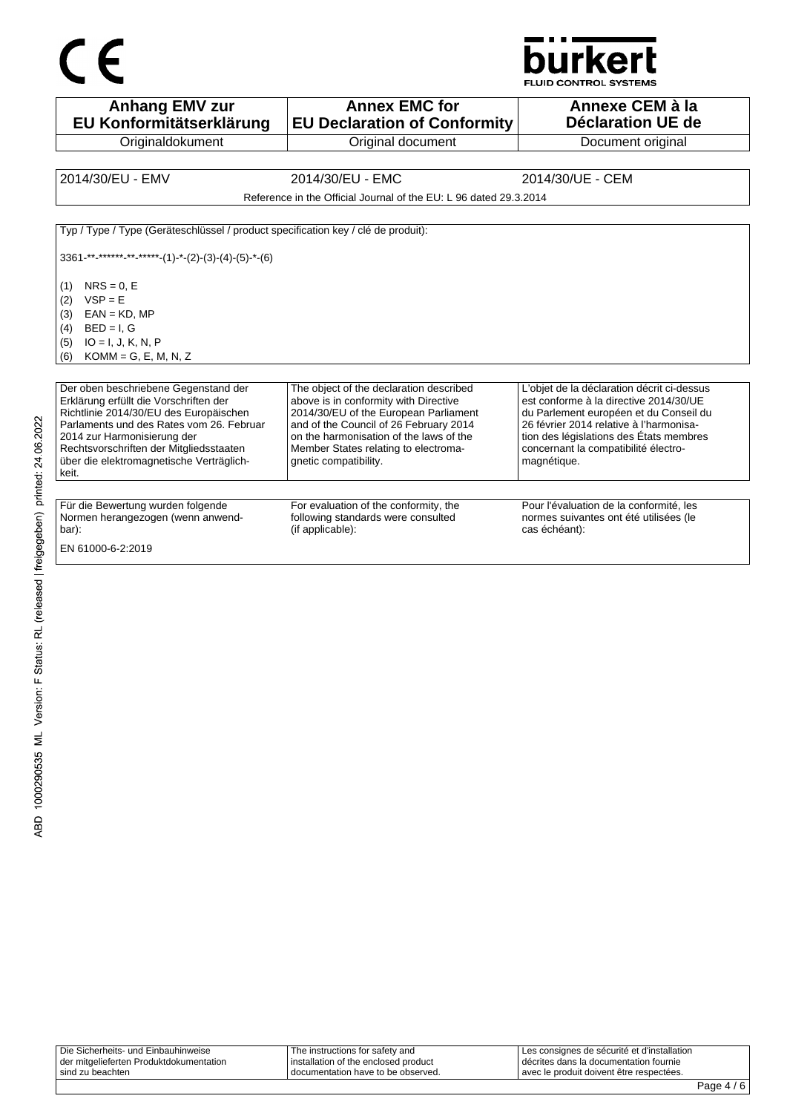

**Anhang EMV zur EU Konformitätserklärung Originaldokument Annex EMC for EU Declaration of Conformity** Original document **Annexe CEM à la Déclaration UE de**  Document original 2014/30/EU - EMV 2014/30/EU - EMC 2014/30/UE - CEM Reference in the Official Journal of the EU: L 96 dated 29.3.2014 Typ / Type / Type (Geräteschlüssel / product specification key / clé de produit):  $3361$ -\*\*-\*\*\*\*\*<sub>-</sub>\*\*-\*\*\*\*-(1)-\*-(2)-(3)-(4)-(5)-\*-(6)  $(1)$  NRS = 0, E  $(2)$  VSP = E  $(3)$  EAN = KD, MP  $(4)$  BED = I, G (5) IO = I, J, K, N, P (6) KOMM = G, E, M, N, Z Der oben beschriebene Gegenstand der Erklärung erfüllt die Vorschriften der Richtlinie 2014/30/EU des Europäischen Parlaments und des Rates vom 26. Februar 2014 zur Harmonisierung der Rechtsvorschriften der Mitgliedsstaaten über die elektromagnetische Verträglichkeit. The object of the declaration described above is in conformity with Directive 2014/30/EU of the European Parliament and of the Council of 26 February 2014 on the harmonisation of the laws of the Member States relating to electromagnetic compatibility. L'objet de la déclaration décrit ci-dessus est conforme à la directive 2014/30/UE du Parlement européen et du Conseil du 26 février 2014 relative à l'harmonisation des législations des États membres concernant la compatibilité électromagnétique. Für die Bewertung wurden folgende Normen herangezogen (wenn anwendbar): For evaluation of the conformity, the following standards were consulted (if applicable): Pour l'évaluation de la conformité, les normes suivantes ont été utilisées (le cas échéant): EN 61000-6-2:2019

| der mitgelieferten Produktdokumentation<br>sind zu beachten | I documentation have to be observed.                                      | avec le produit doivent être respectées.                                              |  |
|-------------------------------------------------------------|---------------------------------------------------------------------------|---------------------------------------------------------------------------------------|--|
| Die Sicherheits- und Einbauhinweise                         | The instructions for safety and<br>I installation of the enclosed product | Les consignes de sécurité et d'installation<br>décrites dans la documentation fournie |  |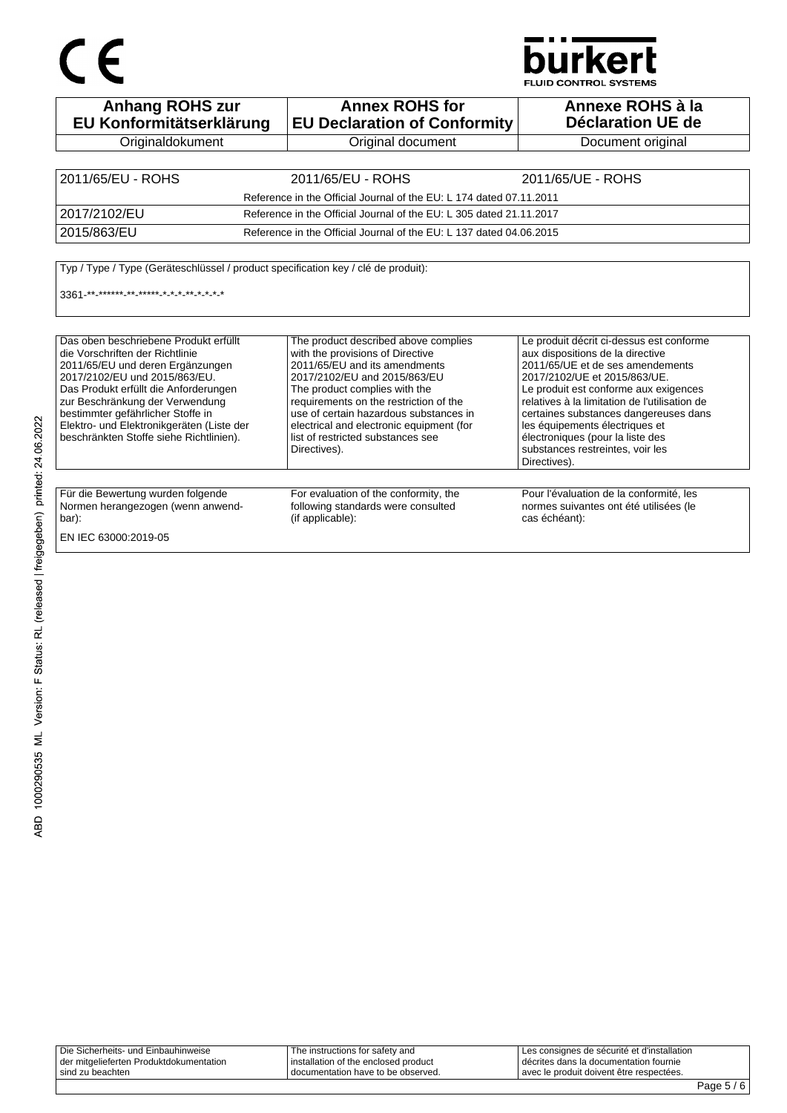# CE

## **burkert**

**FLUID CONTROL SYSTEMS** 

| <b>Anhang ROHS zur</b><br>EU Konformitätserklärung                                                                                                                                                                                                                                                                                                     | <b>Annex ROHS for</b><br><b>EU Declaration of Conformity</b>                                                                                                                                                                                                                                                                                                    | Annexe ROHS à la<br><b>Déclaration UE de</b>                                                                                                                                                                                                                                                                                                                                                                  |  |
|--------------------------------------------------------------------------------------------------------------------------------------------------------------------------------------------------------------------------------------------------------------------------------------------------------------------------------------------------------|-----------------------------------------------------------------------------------------------------------------------------------------------------------------------------------------------------------------------------------------------------------------------------------------------------------------------------------------------------------------|---------------------------------------------------------------------------------------------------------------------------------------------------------------------------------------------------------------------------------------------------------------------------------------------------------------------------------------------------------------------------------------------------------------|--|
| Originaldokument                                                                                                                                                                                                                                                                                                                                       | Original document                                                                                                                                                                                                                                                                                                                                               | Document original                                                                                                                                                                                                                                                                                                                                                                                             |  |
|                                                                                                                                                                                                                                                                                                                                                        |                                                                                                                                                                                                                                                                                                                                                                 |                                                                                                                                                                                                                                                                                                                                                                                                               |  |
| 2011/65/EU - ROHS                                                                                                                                                                                                                                                                                                                                      | 2011/65/EU - ROHS                                                                                                                                                                                                                                                                                                                                               | 2011/65/UE - ROHS                                                                                                                                                                                                                                                                                                                                                                                             |  |
|                                                                                                                                                                                                                                                                                                                                                        | Reference in the Official Journal of the EU: L 174 dated 07.11.2011                                                                                                                                                                                                                                                                                             |                                                                                                                                                                                                                                                                                                                                                                                                               |  |
| 2017/2102/EU                                                                                                                                                                                                                                                                                                                                           | Reference in the Official Journal of the EU: L 305 dated 21.11.2017                                                                                                                                                                                                                                                                                             |                                                                                                                                                                                                                                                                                                                                                                                                               |  |
| 2015/863/EU                                                                                                                                                                                                                                                                                                                                            | Reference in the Official Journal of the EU: L 137 dated 04.06.2015                                                                                                                                                                                                                                                                                             |                                                                                                                                                                                                                                                                                                                                                                                                               |  |
| 3361 ** ****** ** ***** * * * * * * * * *                                                                                                                                                                                                                                                                                                              |                                                                                                                                                                                                                                                                                                                                                                 |                                                                                                                                                                                                                                                                                                                                                                                                               |  |
| Das oben beschriebene Produkt erfüllt<br>die Vorschriften der Richtlinie<br>2011/65/EU und deren Ergänzungen<br>2017/2102/EU und 2015/863/EU.<br>Das Produkt erfüllt die Anforderungen<br>zur Beschränkung der Verwendung<br>bestimmter gefährlicher Stoffe in<br>Elektro- und Elektronikgeräten (Liste der<br>beschränkten Stoffe siehe Richtlinien). | The product described above complies<br>with the provisions of Directive<br>2011/65/EU and its amendments<br>2017/2102/EU and 2015/863/EU<br>The product complies with the<br>requirements on the restriction of the<br>use of certain hazardous substances in<br>electrical and electronic equipment (for<br>list of restricted substances see<br>Directives). | Le produit décrit ci-dessus est conforme<br>aux dispositions de la directive<br>2011/65/UE et de ses amendements<br>2017/2102/UE et 2015/863/UE.<br>Le produit est conforme aux exigences<br>relatives à la limitation de l'utilisation de<br>certaines substances dangereuses dans<br>les équipements électriques et<br>électroniques (pour la liste des<br>substances restreintes, voir les<br>Directives). |  |
| Für die Bewertung wurden folgende<br>Normen herangezogen (wenn anwend-<br>bar):<br>EN IEC 63000:2019-05                                                                                                                                                                                                                                                | For evaluation of the conformity, the<br>following standards were consulted<br>(if applicable):                                                                                                                                                                                                                                                                 | Pour l'évaluation de la conformité, les<br>normes suivantes ont été utilisées (le<br>cas échéant):                                                                                                                                                                                                                                                                                                            |  |

Die Sicherheits- und Einbauhinweise der mitgelieferten Produktdokumentation sind zu beachten The instructions for safety and installation of the enclosed product documentation have to be observed. Les consignes de sécurité et d'installation décrites dans la documentation fournie avec le produit doivent être respectées.